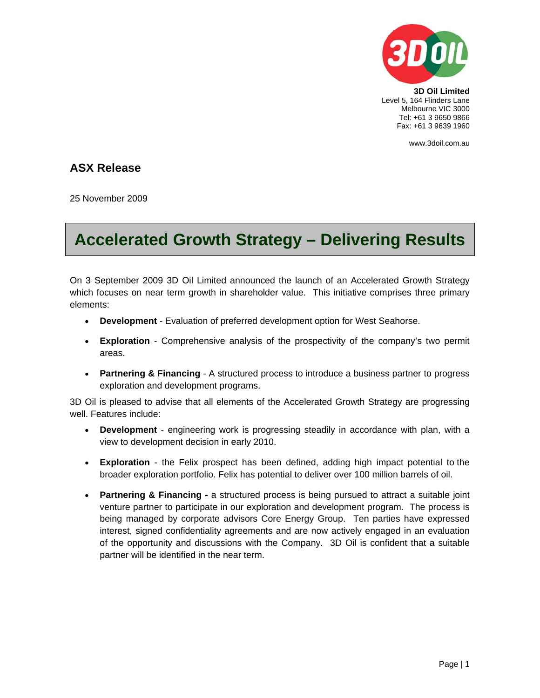

**3D Oil Limited**  Level 5, 164 Flinders Lane Melbourne VIC 3000 Tel: +61 3 9650 9866 Fax: +61 3 9639 1960

www.3doil.com.au

## **ASX Release**

25 November 2009

## **Accelerated Growth Strategy – Delivering Results**

On 3 September 2009 3D Oil Limited announced the launch of an Accelerated Growth Strategy which focuses on near term growth in shareholder value. This initiative comprises three primary elements:

- **Development** Evaluation of preferred development option for West Seahorse.
- **Exploration** Comprehensive analysis of the prospectivity of the company's two permit areas.
- **Partnering & Financing** A structured process to introduce a business partner to progress exploration and development programs.

3D Oil is pleased to advise that all elements of the Accelerated Growth Strategy are progressing well. Features include:

- **Development** engineering work is progressing steadily in accordance with plan, with a view to development decision in early 2010.
- **Exploration** the Felix prospect has been defined, adding high impact potential to the broader exploration portfolio. Felix has potential to deliver over 100 million barrels of oil.
- **Partnering & Financing -** a structured process is being pursued to attract a suitable joint venture partner to participate in our exploration and development program. The process is being managed by corporate advisors Core Energy Group. Ten parties have expressed interest, signed confidentiality agreements and are now actively engaged in an evaluation of the opportunity and discussions with the Company. 3D Oil is confident that a suitable partner will be identified in the near term.